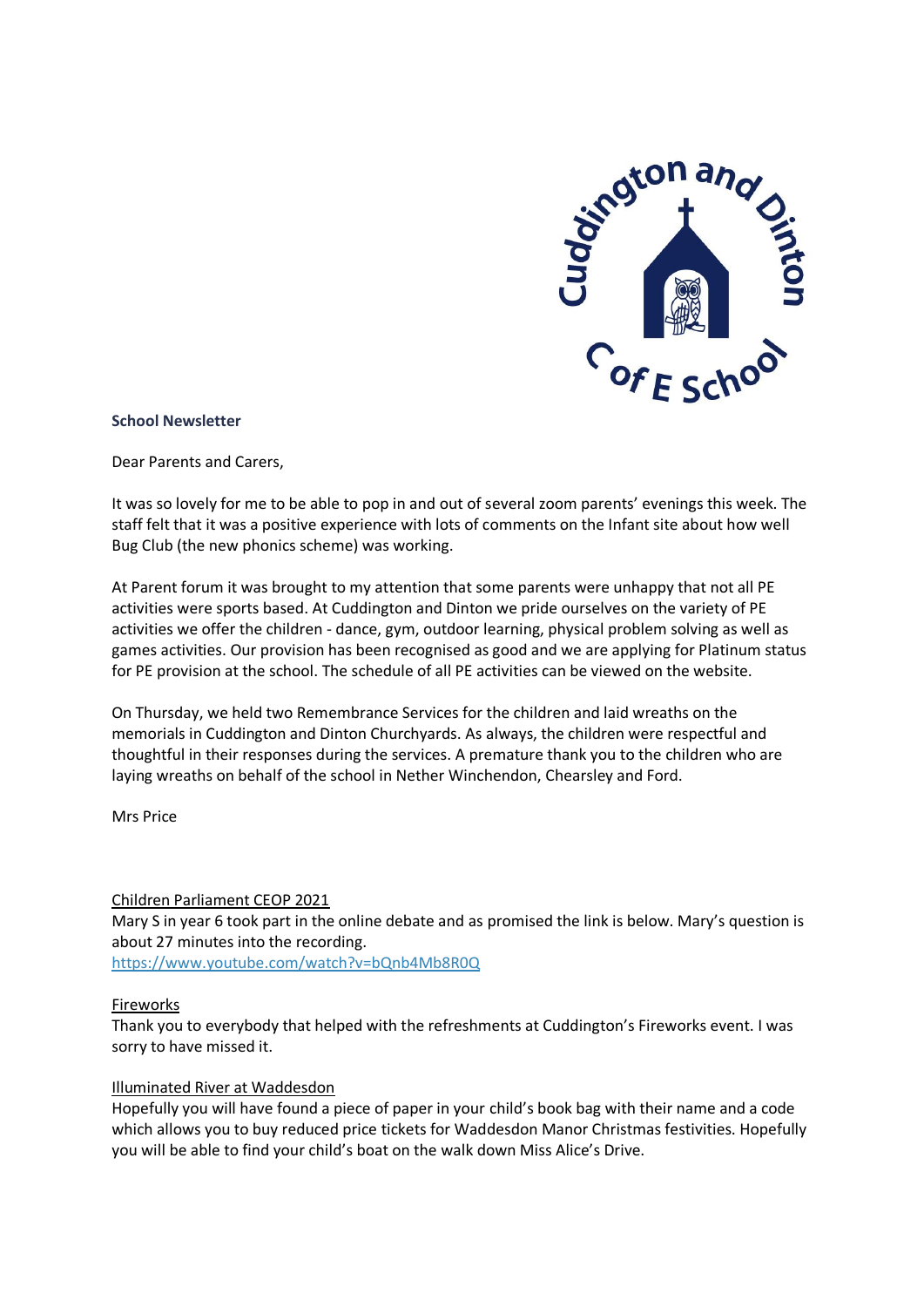

## **School Newsletter**

Dear Parents and Carers,

It was so lovely for me to be able to pop in and out of several zoom parents' evenings this week. The staff felt that it was a positive experience with lots of comments on the Infant site about how well Bug Club (the new phonics scheme) was working.

At Parent forum it was brought to my attention that some parents were unhappy that not all PE activities were sports based. At Cuddington and Dinton we pride ourselves on the variety of PE activities we offer the children - dance, gym, outdoor learning, physical problem solving as well as games activities. Our provision has been recognised as good and we are applying for Platinum status for PE provision at the school. The schedule of all PE activities can be viewed on the website.

On Thursday, we held two Remembrance Services for the children and laid wreaths on the memorials in Cuddington and Dinton Churchyards. As always, the children were respectful and thoughtful in their responses during the services. A premature thank you to the children who are laying wreaths on behalf of the school in Nether Winchendon, Chearsley and Ford.

Mrs Price

## Children Parliament CEOP 2021

Mary S in year 6 took part in the online debate and as promised the link is below. Mary's question is about 27 minutes into the recording.

<https://www.youtube.com/watch?v=bQnb4Mb8R0Q>

## Fireworks

Thank you to everybody that helped with the refreshments at Cuddington's Fireworks event. I was sorry to have missed it.

#### Illuminated River at Waddesdon

Hopefully you will have found a piece of paper in your child's book bag with their name and a code which allows you to buy reduced price tickets for Waddesdon Manor Christmas festivities. Hopefully you will be able to find your child's boat on the walk down Miss Alice's Drive.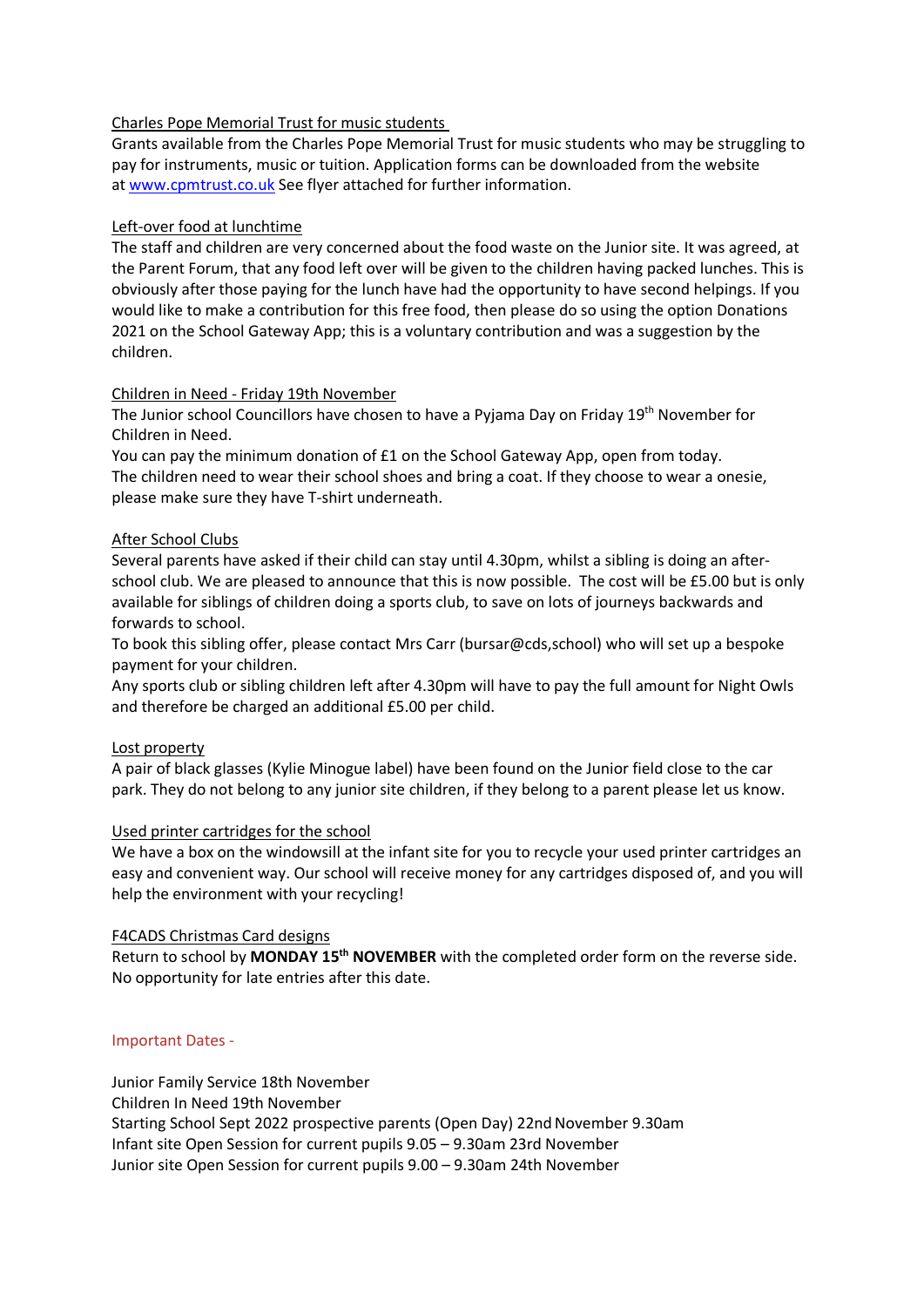# Charles Pope Memorial Trust for music students

Grants available from the Charles Pope Memorial Trust for music students who may be struggling to pay for instruments, music or tuition. Application forms can be downloaded from the website at [www.cpmtrust.co.uk](http://www.cpmtrust.co.uk/) See flyer attached for further information.

# Left-over food at lunchtime

The staff and children are very concerned about the food waste on the Junior site. It was agreed, at the Parent Forum, that any food left over will be given to the children having packed lunches. This is obviously after those paying for the lunch have had the opportunity to have second helpings. If you would like to make a contribution for this free food, then please do so using the option Donations 2021 on the School Gateway App; this is a voluntary contribution and was a suggestion by the children.

# Children in Need - Friday 19th November

The Junior school Councillors have chosen to have a Pyjama Day on Friday 19<sup>th</sup> November for Children in Need.

You can pay the minimum donation of £1 on the School Gateway App, open from today. The children need to wear their school shoes and bring a coat. If they choose to wear a onesie, please make sure they have T-shirt underneath.

# After School Clubs

Several parents have asked if their child can stay until 4.30pm, whilst a sibling is doing an afterschool club. We are pleased to announce that this is now possible. The cost will be £5.00 but is only available for siblings of children doing a sports club, to save on lots of journeys backwards and forwards to school.

To book this sibling offer, please contact Mrs Carr (bursar@cds,school) who will set up a bespoke payment for your children.

Any sports club or sibling children left after 4.30pm will have to pay the full amount for Night Owls and therefore be charged an additional £5.00 per child.

## Lost property

A pair of black glasses (Kylie Minogue label) have been found on the Junior field close to the car park. They do not belong to any junior site children, if they belong to a parent please let us know.

## Used printer cartridges for the school

We have a box on the windowsill at the infant site for you to recycle your used printer cartridges an easy and convenient way. Our school will receive money for any cartridges disposed of, and you will help the environment with your recycling!

## F4CADS Christmas Card designs

Return to school by **MONDAY 15<sup>th</sup> NOVEMBER** with the completed order form on the reverse side. No opportunity for late entries after this date.

## Important Dates -

Junior Family Service 18th November Children In Need 19th November Starting School Sept 2022 prospective parents (Open Day) 22nd November 9.30am Infant site Open Session for current pupils 9.05 – 9.30am 23rd November Junior site Open Session for current pupils 9.00 – 9.30am 24th November